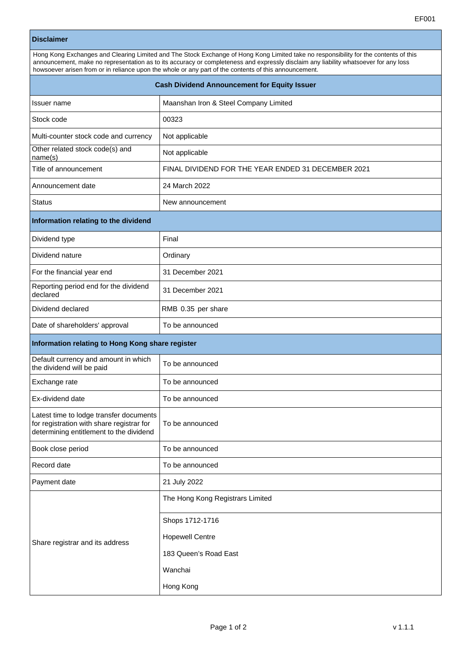## **Disclaimer**

| Hong Kong Exchanges and Clearing Limited and The Stock Exchange of Hong Kong Limited take no responsibility for the contents of this                                                                                                          |  |  |
|-----------------------------------------------------------------------------------------------------------------------------------------------------------------------------------------------------------------------------------------------|--|--|
| announcement, make no representation as to its accuracy or completeness and expressly disclaim any liability whatsoever for any loss<br>howsoever arisen from or in reliance upon the whole or any part of the contents of this announcement. |  |  |
|                                                                                                                                                                                                                                               |  |  |

| <b>Cash Dividend Announcement for Equity Issuer</b>                                                                             |                                                    |  |
|---------------------------------------------------------------------------------------------------------------------------------|----------------------------------------------------|--|
| Issuer name                                                                                                                     | Maanshan Iron & Steel Company Limited              |  |
| Stock code                                                                                                                      | 00323                                              |  |
| Multi-counter stock code and currency                                                                                           | Not applicable                                     |  |
| Other related stock code(s) and<br>name(s)                                                                                      | Not applicable                                     |  |
| Title of announcement                                                                                                           | FINAL DIVIDEND FOR THE YEAR ENDED 31 DECEMBER 2021 |  |
| Announcement date                                                                                                               | 24 March 2022                                      |  |
| <b>Status</b>                                                                                                                   | New announcement                                   |  |
| Information relating to the dividend                                                                                            |                                                    |  |
| Dividend type                                                                                                                   | Final                                              |  |
| Dividend nature                                                                                                                 | Ordinary                                           |  |
| For the financial year end                                                                                                      | 31 December 2021                                   |  |
| Reporting period end for the dividend<br>declared                                                                               | 31 December 2021                                   |  |
| Dividend declared                                                                                                               | RMB 0.35 per share                                 |  |
| Date of shareholders' approval                                                                                                  | To be announced                                    |  |
| Information relating to Hong Kong share register                                                                                |                                                    |  |
| Default currency and amount in which<br>the dividend will be paid                                                               | To be announced                                    |  |
| Exchange rate                                                                                                                   | To be announced                                    |  |
| Ex-dividend date                                                                                                                | To be announced                                    |  |
| Latest time to lodge transfer documents<br>for registration with share registrar for<br>determining entitlement to the dividend | To be announced                                    |  |
| Book close period                                                                                                               | To be announced                                    |  |
| Record date                                                                                                                     | To be announced                                    |  |
| Payment date                                                                                                                    | 21 July 2022                                       |  |
| Share registrar and its address                                                                                                 | The Hong Kong Registrars Limited                   |  |
|                                                                                                                                 | Shops 1712-1716                                    |  |
|                                                                                                                                 | <b>Hopewell Centre</b>                             |  |
|                                                                                                                                 | 183 Queen's Road East                              |  |
|                                                                                                                                 | Wanchai                                            |  |
|                                                                                                                                 | Hong Kong                                          |  |